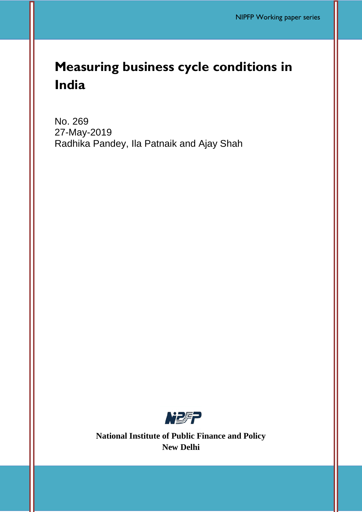# **Measuring business cycle conditions in India**

No. 269 27-May-2019 Radhika Pandey, Ila Patnaik and Ajay Shah



**National Institute of Public Finance and Policy New Delhi**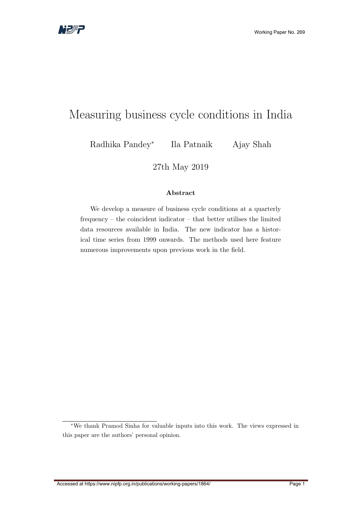# <span id="page-1-0"></span>Measuring business cycle conditions in India

Radhika Pandey<sup>∗</sup> Ila Patnaik Ajay Shah

27th May 2019

#### Abstract

We develop a measure of business cycle conditions at a quarterly frequency – the coincident indicator – that better utilises the limited data resources available in India. The new indicator has a historical time series from 1999 onwards. The methods used here feature numerous improvements upon previous work in the field.

<sup>∗</sup>We thank Pramod Sinha for valuable inputs into this work. The views expressed in this paper are the authors' personal opinion.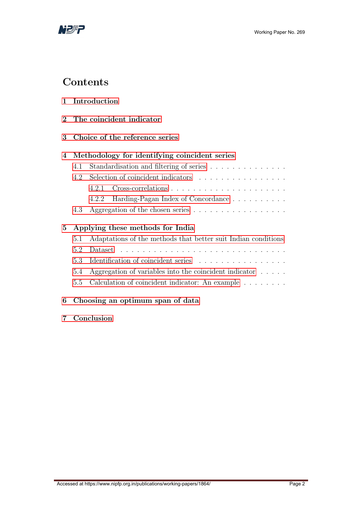

## **Contents**

| Introduction |
|--------------|
|              |

- [2 The coincident indicator](#page-5-0)
- [3 Choice of the reference series](#page-6-0)

### [4 Methodology for identifying coincident series](#page-8-0)

| 4.1 Standardisation and filtering of series |                                          |  |  |
|---------------------------------------------|------------------------------------------|--|--|
| 4.2 Selection of coincident indicators      |                                          |  |  |
|                                             |                                          |  |  |
|                                             | 4.2.2 Harding-Pagan Index of Concordance |  |  |
|                                             |                                          |  |  |

### [5 Applying these methods for India](#page-14-0)

| 5.1 Adaptations of the methods that better suit Indian conditions |
|-------------------------------------------------------------------|
|                                                                   |
| 5.3 Identification of coincident series                           |
| 5.4 Aggregation of variables into the coincident indicator        |

[5.5 Calculation of coincident indicator: An example](#page-20-0) . . . . . . . .

### [6 Choosing an optimum span of data](#page-20-1)

[7 Conclusion](#page-21-0)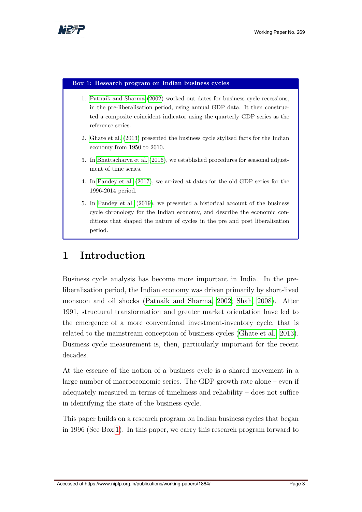

#### <span id="page-3-1"></span>Box 1: Research program on Indian business cycles

- 1. [Patnaik and Sharma](#page-33-0) [\(2002\)](#page-33-0) worked out dates for business cycle recessions, in the pre-liberalisation period, using annual GDP data. It then constructed a composite coincident indicator using the quarterly GDP series as the reference series.
- 2. [Ghate et al.](#page-32-0) [\(2013\)](#page-32-0) presented the business cycle stylised facts for the Indian economy from 1950 to 2010.
- 3. In [Bhattacharya et al.](#page-31-0) [\(2016\)](#page-31-0), we established procedures for seasonal adjustment of time series.
- 4. In [Pandey et al.](#page-33-1) [\(2017\)](#page-33-1), we arrived at dates for the old GDP series for the 1996-2014 period.
- 5. In [Pandey et al.](#page-33-2) [\(2019\)](#page-33-2), we presented a historical account of the business cycle chronology for the Indian economy, and describe the economic conditions that shaped the nature of cycles in the pre and post liberalisation period.

## <span id="page-3-0"></span>1 Introduction

Business cycle analysis has become more important in India. In the preliberalisation period, the Indian economy was driven primarily by short-lived monsoon and oil shocks [\(Patnaik and Sharma, 2002;](#page-33-0) [Shah, 2008\)](#page-33-3). After 1991, structural transformation and greater market orientation have led to the emergence of a more conventional investment-inventory cycle, that is related to the mainstream conception of business cycles [\(Ghate et al., 2013\)](#page-32-0). Business cycle measurement is, then, particularly important for the recent decades.

At the essence of the notion of a business cycle is a shared movement in a large number of macroeconomic series. The GDP growth rate alone – even if adequately measured in terms of timeliness and reliability – does not suffice in identifying the state of the business cycle.

This paper builds on a research program on Indian business cycles that began in 1996 (See Box [1\)](#page-3-1). In this paper, we carry this research program forward to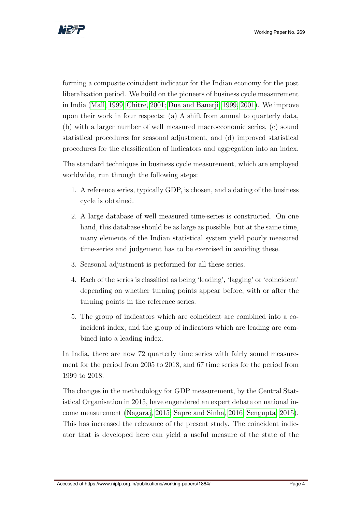

forming a composite coincident indicator for the Indian economy for the post liberalisation period. We build on the pioneers of business cycle measurement in India [\(Mall, 1999;](#page-32-1) [Chitre, 2001;](#page-31-1) [Dua and Banerji, 1999,](#page-31-2) [2001\)](#page-31-3). We improve upon their work in four respects: (a) A shift from annual to quarterly data, (b) with a larger number of well measured macroeconomic series, (c) sound statistical procedures for seasonal adjustment, and (d) improved statistical procedures for the classification of indicators and aggregation into an index.

The standard techniques in business cycle measurement, which are employed worldwide, run through the following steps:

- 1. A reference series, typically GDP, is chosen, and a dating of the business cycle is obtained.
- 2. A large database of well measured time-series is constructed. On one hand, this database should be as large as possible, but at the same time, many elements of the Indian statistical system yield poorly measured time-series and judgement has to be exercised in avoiding these.
- 3. Seasonal adjustment is performed for all these series.
- 4. Each of the series is classified as being 'leading', 'lagging' or 'coincident' depending on whether turning points appear before, with or after the turning points in the reference series.
- 5. The group of indicators which are coincident are combined into a coincident index, and the group of indicators which are leading are combined into a leading index.

In India, there are now 72 quarterly time series with fairly sound measurement for the period from 2005 to 2018, and 67 time series for the period from 1999 to 2018.

The changes in the methodology for GDP measurement, by the Central Statistical Organisation in 2015, have engendered an expert debate on national income measurement [\(Nagaraj, 2015;](#page-33-4) [Sapre and Sinha, 2016;](#page-33-5) [Sengupta, 2015\)](#page-33-6). This has increased the relevance of the present study. The coincident indicator that is developed here can yield a useful measure of the state of the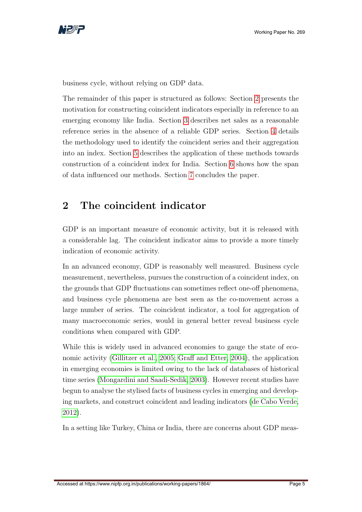

business cycle, without relying on GDP data.

The remainder of this paper is structured as follows: Section [2](#page-5-0) presents the motivation for constructing coincident indicators especially in reference to an emerging economy like India. Section [3](#page-6-0) describes net sales as a reasonable reference series in the absence of a reliable GDP series. Section [4](#page-8-0) details the methodology used to identify the coincident series and their aggregation into an index. Section [5](#page-14-0) describes the application of these methods towards construction of a coincident index for India. Section [6](#page-20-1) shows how the span of data influenced our methods. Section [7](#page-21-0) concludes the paper.

## <span id="page-5-0"></span>2 The coincident indicator

GDP is an important measure of economic activity, but it is released with a considerable lag. The coincident indicator aims to provide a more timely indication of economic activity.

In an advanced economy, GDP is reasonably well measured. Business cycle measurement, nevertheless, pursues the construction of a coincident index, on the grounds that GDP fluctuations can sometimes reflect one-off phenomena, and business cycle phenomena are best seen as the co-movement across a large number of series. The coincident indicator, a tool for aggregation of many macroeconomic series, would in general better reveal business cycle conditions when compared with GDP.

While this is widely used in advanced economies to gauge the state of economic activity [\(Gillitzer et al., 2005;](#page-32-2) [Graff and Etter, 2004\)](#page-32-3), the application in emerging economies is limited owing to the lack of databases of historical time series [\(Mongardini and Saadi-Sedik, 2003\)](#page-33-7). However recent studies have begun to analyse the stylised facts of business cycles in emerging and developing markets, and construct coincident and leading indicators [\(de Cabo Verde,](#page-31-4) [2012\)](#page-31-4).

In a setting like Turkey, China or India, there are concerns about GDP meas-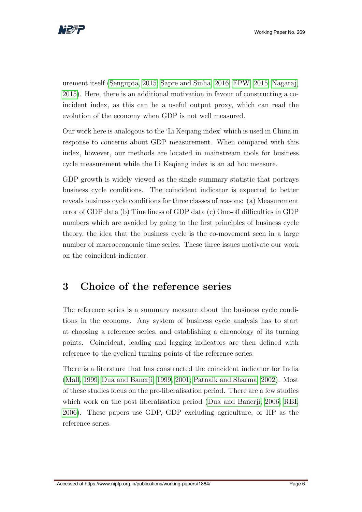

urement itself [\(Sengupta, 2015;](#page-33-6) [Sapre and Sinha, 2016;](#page-33-5) [EPW, 2015;](#page-32-4) [Nagaraj,](#page-33-4) [2015\)](#page-33-4). Here, there is an additional motivation in favour of constructing a coincident index, as this can be a useful output proxy, which can read the evolution of the economy when GDP is not well measured.

Our work here is analogous to the 'Li Keqiang index' which is used in China in response to concerns about GDP measurement. When compared with this index, however, our methods are located in mainstream tools for business cycle measurement while the Li Keqiang index is an ad hoc measure.

GDP growth is widely viewed as the single summary statistic that portrays business cycle conditions. The coincident indicator is expected to better reveals business cycle conditions for three classes of reasons: (a) Measurement error of GDP data (b) Timeliness of GDP data (c) One-off difficulties in GDP numbers which are avoided by going to the first principles of business cycle theory, the idea that the business cycle is the co-movement seen in a large number of macroeconomic time series. These three issues motivate our work on the coincident indicator.

## <span id="page-6-0"></span>3 Choice of the reference series

The reference series is a summary measure about the business cycle conditions in the economy. Any system of business cycle analysis has to start at choosing a reference series, and establishing a chronology of its turning points. Coincident, leading and lagging indicators are then defined with reference to the cyclical turning points of the reference series.

There is a literature that has constructed the coincident indicator for India [\(Mall, 1999;](#page-32-1) [Dua and Banerji, 1999,](#page-31-2) [2001;](#page-31-3) [Patnaik and Sharma, 2002\)](#page-33-0). Most of these studies focus on the pre-liberalisation period. There are a few studies which work on the post liberalisation period [\(Dua and Banerji, 2006;](#page-31-5) [RBI,](#page-33-8) [2006\)](#page-33-8). These papers use GDP, GDP excluding agriculture, or IIP as the reference series.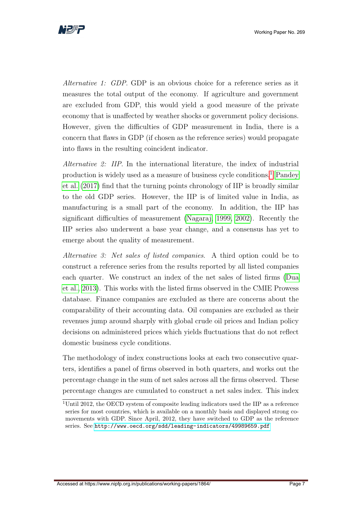

Alternative 1: GDP. GDP is an obvious choice for a reference series as it measures the total output of the economy. If agriculture and government are excluded from GDP, this would yield a good measure of the private economy that is unaffected by weather shocks or government policy decisions. However, given the difficulties of GDP measurement in India, there is a concern that flaws in GDP (if chosen as the reference series) would propagate into flaws in the resulting coincident indicator.

Alternative 2: IIP. In the international literature, the index of industrial production is widely used as a measure of business cycle conditions.[1](#page-1-0) [Pandey](#page-33-1) [et al.](#page-33-1) [\(2017\)](#page-33-1) find that the turning points chronology of IIP is broadly similar to the old GDP series. However, the IIP is of limited value in India, as manufacturing is a small part of the economy. In addition, the IIP has significant difficulties of measurement [\(Nagaraj, 1999,](#page-33-9) [2002\)](#page-33-10). Recently the IIP series also underwent a base year change, and a consensus has yet to emerge about the quality of measurement.

Alternative 3: Net sales of listed companies. A third option could be to construct a reference series from the results reported by all listed companies each quarter. We construct an index of the net sales of listed firms [\(Dua](#page-31-6) [et al., 2013\)](#page-31-6). This works with the listed firms observed in the CMIE Prowess database. Finance companies are excluded as there are concerns about the comparability of their accounting data. Oil companies are excluded as their revenues jump around sharply with global crude oil prices and Indian policy decisions on administered prices which yields fluctuations that do not reflect domestic business cycle conditions.

The methodology of index constructions looks at each two consecutive quarters, identifies a panel of firms observed in both quarters, and works out the percentage change in the sum of net sales across all the firms observed. These percentage changes are cumulated to construct a net sales index. This index

<sup>&</sup>lt;sup>1</sup>Until 2012, the OECD system of composite leading indicators used the IIP as a reference series for most countries, which is available on a monthly basis and displayed strong comovements with GDP. Since April, 2012, they have switched to GDP as the reference series. See <http://www.oecd.org/sdd/leading-indicators/49989659.pdf>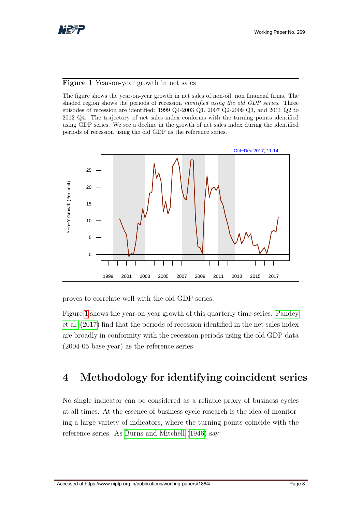

#### <span id="page-8-1"></span>Figure 1 Year-on-year growth in net sales

The figure shows the year-on-year growth in net sales of non-oil, non financial firms. The shaded region shows the periods of recession identified using the old GDP series. Three episodes of recession are identified: 1999 Q4-2003 Q1, 2007 Q2-2009 Q3, and 2011 Q2 to 2012 Q4. The trajectory of net sales index conforms with the turning points identified using GDP series. We see a decline in the growth of net sales index during the identified periods of recession using the old GDP as the reference series.



proves to correlate well with the old GDP series.

Figure [1](#page-8-1) shows the year-on-year growth of this quarterly time-series. [Pandey](#page-33-1) [et al.](#page-33-1) [\(2017\)](#page-33-1) find that the periods of recession identified in the net sales index are broadly in conformity with the recession periods using the old GDP data (2004-05 base year) as the reference series.

## <span id="page-8-0"></span>4 Methodology for identifying coincident series

No single indicator can be considered as a reliable proxy of business cycles at all times. At the essence of business cycle research is the idea of monitoring a large variety of indicators, where the turning points coincide with the reference series. As [Burns and Mitchell](#page-31-7) [\(1946\)](#page-31-7) say: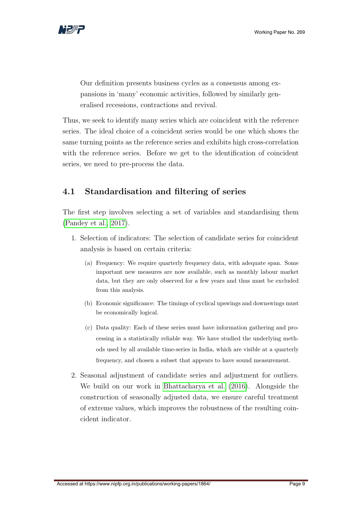

Our definition presents business cycles as a consensus among expansions in 'many' economic activities, followed by similarly generalised recessions, contractions and revival.

Thus, we seek to identify many series which are coincident with the reference series. The ideal choice of a coincident series would be one which shows the same turning points as the reference series and exhibits high cross-correlation with the reference series. Before we get to the identification of coincident series, we need to pre-process the data.

### <span id="page-9-0"></span>4.1 Standardisation and filtering of series

The first step involves selecting a set of variables and standardising them [\(Pandey et al., 2017\)](#page-33-1).

- 1. Selection of indicators: The selection of candidate series for coincident analysis is based on certain criteria:
	- (a) Frequency: We require quarterly frequency data, with adequate span. Some important new measures are now available, such as monthly labour market data, but they are only observed for a few years and thus must be excluded from this analysis.
	- (b) Economic significance: The timings of cyclical upswings and downswings must be economically logical.
	- (c) Data quality: Each of these series must have information gathering and processing in a statistically reliable way. We have studied the underlying methods used by all available time-series in India, which are visible at a quarterly frequency, and chosen a subset that appears to have sound measurement.
- 2. Seasonal adjustment of candidate series and adjustment for outliers. We build on our work in [Bhattacharya et al.](#page-31-0) [\(2016\)](#page-31-0). Alongside the construction of seasonally adjusted data, we ensure careful treatment of extreme values, which improves the robustness of the resulting coincident indicator.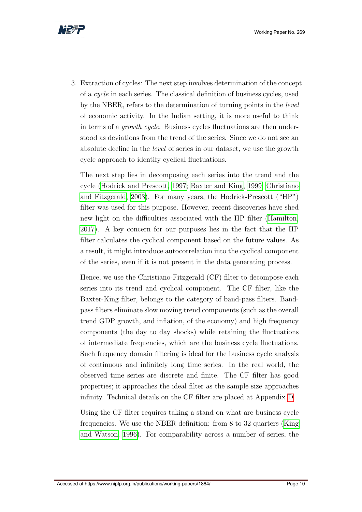

3. Extraction of cycles: The next step involves determination of the concept of a cycle in each series. The classical definition of business cycles, used by the NBER, refers to the determination of turning points in the level of economic activity. In the Indian setting, it is more useful to think in terms of a growth cycle. Business cycles fluctuations are then understood as deviations from the trend of the series. Since we do not see an absolute decline in the level of series in our dataset, we use the growth cycle approach to identify cyclical fluctuations.

The next step lies in decomposing each series into the trend and the cycle [\(Hodrick and Prescott, 1997;](#page-32-5) [Baxter and King, 1999;](#page-31-8) [Christiano](#page-31-9) [and Fitzgerald, 2003\)](#page-31-9). For many years, the Hodrick-Prescott ("HP") filter was used for this purpose. However, recent discoveries have shed new light on the difficulties associated with the HP filter [\(Hamilton,](#page-32-6) [2017\)](#page-32-6). A key concern for our purposes lies in the fact that the HP filter calculates the cyclical component based on the future values. As a result, it might introduce autocorrelation into the cyclical component of the series, even if it is not present in the data generating process.

Hence, we use the Christiano-Fitzgerald (CF) filter to decompose each series into its trend and cyclical component. The CF filter, like the Baxter-King filter, belongs to the category of band-pass filters. Bandpass filters eliminate slow moving trend components (such as the overall trend GDP growth, and inflation, of the economy) and high frequency components (the day to day shocks) while retaining the fluctuations of intermediate frequencies, which are the business cycle fluctuations. Such frequency domain filtering is ideal for the business cycle analysis of continuous and infinitely long time series. In the real world, the observed time series are discrete and finite. The CF filter has good properties; it approaches the ideal filter as the sample size approaches infinity. Technical details on the CF filter are placed at Appendix [D.](#page-26-0)

Using the CF filter requires taking a stand on what are business cycle frequencies. We use the NBER definition: from 8 to 32 quarters [\(King](#page-32-7) [and Watson, 1996\)](#page-32-7). For comparability across a number of series, the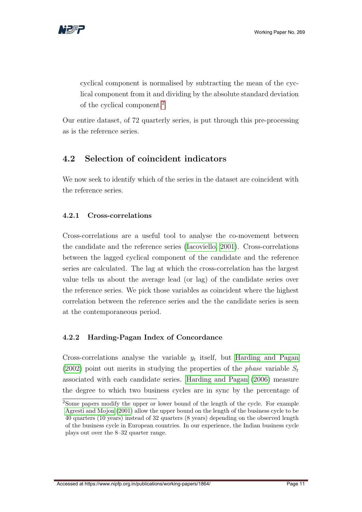

cyclical component is normalised by subtracting the mean of the cyclical component from it and dividing by the absolute standard deviation of the cyclical component.[2](#page-1-0)

Our entire dataset, of 72 quarterly series, is put through this pre-processing as is the reference series.

### <span id="page-11-0"></span>4.2 Selection of coincident indicators

We now seek to identify which of the series in the dataset are coincident with the reference series.

### <span id="page-11-1"></span>4.2.1 Cross-correlations

Cross-correlations are a useful tool to analyse the co-movement between the candidate and the reference series [\(Iacoviello, 2001\)](#page-32-8). Cross-correlations between the lagged cyclical component of the candidate and the reference series are calculated. The lag at which the cross-correlation has the largest value tells us about the average lead (or lag) of the candidate series over the reference series. We pick those variables as coincident where the highest correlation between the reference series and the the candidate series is seen at the contemporaneous period.

### <span id="page-11-2"></span>4.2.2 Harding-Pagan Index of Concordance

Cross-correlations analyse the variable  $y_t$  itself, but [Harding and Pagan](#page-32-9) [\(2002\)](#page-32-9) point out merits in studying the properties of the *phase* variable  $S_t$ associated with each candidate series. [Harding and Pagan](#page-32-10) [\(2006\)](#page-32-10) measure the degree to which two business cycles are in sync by the percentage of

<sup>2</sup>Some papers modify the upper or lower bound of the length of the cycle. For example [Agresti and Mojon](#page-31-10) [\(2001\)](#page-31-10) allow the upper bound on the length of the business cycle to be 40 quarters (10 years) instead of 32 quarters (8 years) depending on the observed length of the business cycle in European countries. In our experience, the Indian business cycle plays out over the 8–32 quarter range.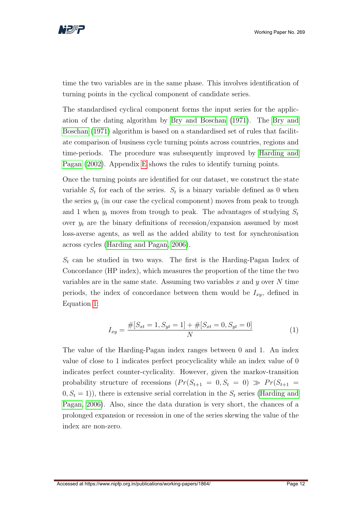

time the two variables are in the same phase. This involves identification of turning points in the cyclical component of candidate series.

The standardised cyclical component forms the input series for the application of the dating algorithm by [Bry and Boschan](#page-31-11) [\(1971\)](#page-31-11). The [Bry and](#page-31-11) [Boschan](#page-31-11) [\(1971\)](#page-31-11) algorithm is based on a standardised set of rules that facilitate comparison of business cycle turning points across countries, regions and time-periods. The procedure was subsequently improved by [Harding and](#page-32-9) [Pagan](#page-32-9) [\(2002\)](#page-32-9). Appendix [E](#page-27-0) shows the rules to identify turning points.

Once the turning points are identified for our dataset, we construct the state variable  $S_t$  for each of the series.  $S_t$  is a binary variable defined as 0 when the series  $y_t$  (in our case the cyclical component) moves from peak to trough and 1 when  $y_t$  moves from trough to peak. The advantages of studying  $S_t$ over  $y_t$  are the binary definitions of recession/expansion assumed by most loss-averse agents, as well as the added ability to test for synchronisation across cycles [\(Harding and Pagan, 2006\)](#page-32-10).

 $S_t$  can be studied in two ways. The first is the Harding-Pagan Index of Concordance (HP index), which measures the proportion of the time the two variables are in the same state. Assuming two variables  $x$  and  $y$  over  $N$  time periods, the index of concordance between them would be  $I_{xy}$ , defined in Equation [1:](#page-12-0)

$$
I_{xy} = \frac{\#[S_{xt} = 1, S_{yt} = 1] + \#[S_{xt} = 0, S_{yt} = 0]}{N}
$$
\n(1)

<span id="page-12-0"></span>The value of the Harding-Pagan index ranges between 0 and 1. An index value of close to 1 indicates perfect procyclicality while an index value of 0 indicates perfect counter-cyclicality. However, given the markov-transition probability structure of recessions  $(Pr(S_{t+1} = 0, S_t = 0) \gg Pr(S_{t+1} =$  $(0, S_t = 1)$ , there is extensive serial correlation in the  $S_t$  series [\(Harding and](#page-32-10) [Pagan, 2006\)](#page-32-10). Also, since the data duration is very short, the chances of a prolonged expansion or recession in one of the series skewing the value of the index are non-zero.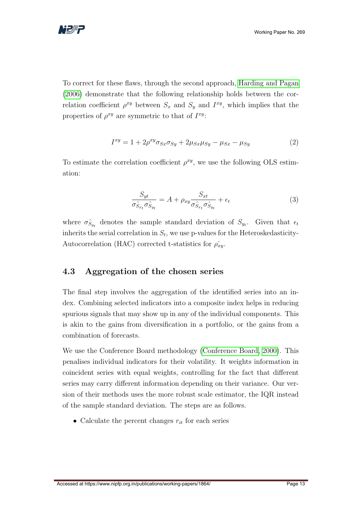

To correct for these flaws, through the second approach, [Harding and Pagan](#page-32-10) [\(2006\)](#page-32-10) demonstrate that the following relationship holds between the correlation coefficient  $\rho^{xy}$  between  $S_x$  and  $S_y$  and  $I^{xy}$ , which implies that the properties of  $\rho^{xy}$  are symmetric to that of  $I^{xy}$ :

$$
I^{xy} = 1 + 2\rho^{xy}\sigma_{Sx}\sigma_{Sy} + 2\mu_{Sx}\mu_{Sy} - \mu_{Sx} - \mu_{Sy}
$$
 (2)

To estimate the correlation coefficient  $\rho^{xy}$ , we use the following OLS estimation:

$$
\frac{S_{yt}}{\sigma \hat{S}_{x_t} \sigma \hat{S}_{y_t}} = A + \rho_{xy} \frac{S_{xt}}{\sigma \hat{S}_{x_t} \sigma \hat{S}_{y_t}} + \epsilon_t
$$
\n(3)

where  $\sigma_{S_{y_t}}^{\hat{}}$  denotes the sample standard deviation of  $S_{y_t}$ . Given that  $\epsilon_t$ inherits the serial correlation in  $S_t$ , we use p-values for the Heteroskedasticity-Autocorrelation (HAC) corrected t-statistics for  $\rho_{xy}$ .

### <span id="page-13-0"></span>4.3 Aggregation of the chosen series

The final step involves the aggregation of the identified series into an index. Combining selected indicators into a composite index helps in reducing spurious signals that may show up in any of the individual components. This is akin to the gains from diversification in a portfolio, or the gains from a combination of forecasts.

We use the Conference Board methodology [\(Conference Board, 2000\)](#page-31-12). This penalises individual indicators for their volatility. It weights information in coincident series with equal weights, controlling for the fact that different series may carry different information depending on their variance. Our version of their methods uses the more robust scale estimator, the IQR instead of the sample standard deviation. The steps are as follows.

• Calculate the percent changes  $r_{it}$  for each series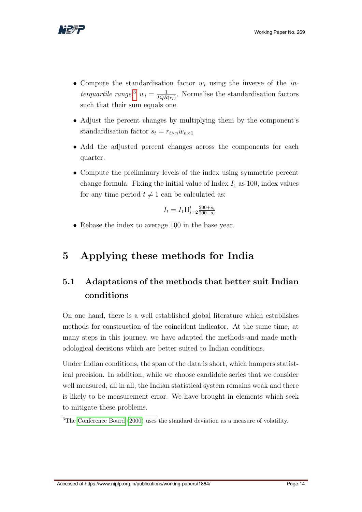

- Compute the standardisation factor  $w_i$  using the inverse of the *in*-terquartile range.<sup>[3](#page-1-0)</sup>  $w_i = \frac{1}{IQR}$  $\frac{1}{IQR(r_i)}$ . Normalise the standardisation factors such that their sum equals one.
- Adjust the percent changes by multiplying them by the component's standardisation factor  $s_t = r_{t \times n} w_{n \times 1}$
- Add the adjusted percent changes across the components for each quarter.
- Compute the preliminary levels of the index using symmetric percent change formula. Fixing the initial value of Index  $I_1$  as 100, index values for any time period  $t \neq 1$  can be calculated as:

$$
I_t = I_1 \Pi_{i=2}^t \tfrac{200+s_i}{200-s_i}
$$

• Rebase the index to average 100 in the base year.

## <span id="page-14-0"></span>5 Applying these methods for India

## <span id="page-14-1"></span>5.1 Adaptations of the methods that better suit Indian conditions

On one hand, there is a well established global literature which establishes methods for construction of the coincident indicator. At the same time, at many steps in this journey, we have adapted the methods and made methodological decisions which are better suited to Indian conditions.

Under Indian conditions, the span of the data is short, which hampers statistical precision. In addition, while we choose candidate series that we consider well measured, all in all, the Indian statistical system remains weak and there is likely to be measurement error. We have brought in elements which seek to mitigate these problems.

<sup>3</sup>The [Conference Board](#page-31-12) [\(2000\)](#page-31-12) uses the standard deviation as a measure of volatility.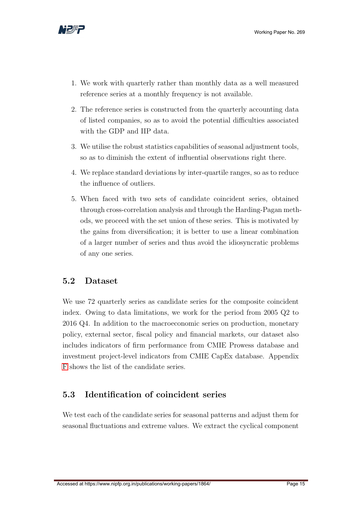

- 1. We work with quarterly rather than monthly data as a well measured reference series at a monthly frequency is not available.
- 2. The reference series is constructed from the quarterly accounting data of listed companies, so as to avoid the potential difficulties associated with the GDP and IIP data.
- 3. We utilise the robust statistics capabilities of seasonal adjustment tools, so as to diminish the extent of influential observations right there.
- 4. We replace standard deviations by inter-quartile ranges, so as to reduce the influence of outliers.
- 5. When faced with two sets of candidate coincident series, obtained through cross-correlation analysis and through the Harding-Pagan methods, we proceed with the set union of these series. This is motivated by the gains from diversification; it is better to use a linear combination of a larger number of series and thus avoid the idiosyncratic problems of any one series.

### <span id="page-15-0"></span>5.2 Dataset

We use 72 quarterly series as candidate series for the composite coincident index. Owing to data limitations, we work for the period from 2005 Q2 to 2016 Q4. In addition to the macroeconomic series on production, monetary policy, external sector, fiscal policy and financial markets, our dataset also includes indicators of firm performance from CMIE Prowess database and investment project-level indicators from CMIE CapEx database. Appendix [F](#page-29-0) shows the list of the candidate series.

### <span id="page-15-1"></span>5.3 Identification of coincident series

We test each of the candidate series for seasonal patterns and adjust them for seasonal fluctuations and extreme values. We extract the cyclical component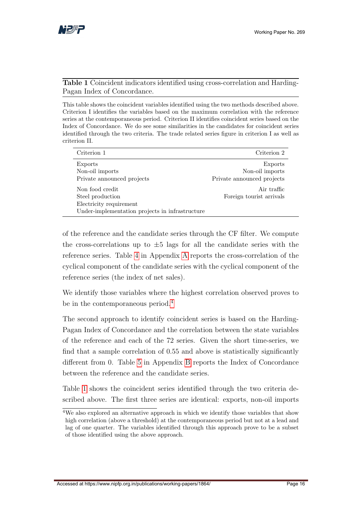

#### <span id="page-16-0"></span>Table 1 Coincident indicators identified using cross-correlation and Harding-Pagan Index of Concordance.

This table shows the coincident variables identified using the two methods described above. Criterion I identifies the variables based on the maximum correlation with the reference series at the contemporaneous period. Criterion II identifies coincident series based on the Index of Concordance. We do see some similarities in the candidates for coincident series identified through the two criteria. The trade related series figure in criterion I as well as criterion II.

| Criterion 1                                                                                                       | Criterion 2                                              |
|-------------------------------------------------------------------------------------------------------------------|----------------------------------------------------------|
| Exports<br>Non-oil imports<br>Private announced projects                                                          | Exports<br>Non-oil imports<br>Private announced projects |
| Non food credit<br>Steel production<br>Electricity requirement<br>Under-implementation projects in infrastructure | Air traffic<br>Foreign tourist arrivals                  |

of the reference and the candidate series through the CF filter. We compute the cross-correlations up to  $\pm 5$  lags for all the candidate series with the reference series. Table [4](#page-24-0) in Appendix [A](#page-23-0) reports the cross-correlation of the cyclical component of the candidate series with the cyclical component of the reference series (the index of net sales).

We identify those variables where the highest correlation observed proves to be in the contemporaneous period.<sup>[4](#page-1-0)</sup>

The second approach to identify coincident series is based on the Harding-Pagan Index of Concordance and the correlation between the state variables of the reference and each of the 72 series. Given the short time-series, we find that a sample correlation of 0.55 and above is statistically significantly different from 0. Table [5](#page-25-0) in Appendix [B](#page-23-1) reports the Index of Concordance between the reference and the candidate series.

Table [1](#page-16-0) shows the coincident series identified through the two criteria described above. The first three series are identical: exports, non-oil imports

<sup>4</sup>We also explored an alternative approach in which we identify those variables that show high correlation (above a threshold) at the contemporaneous period but not at a lead and lag of one quarter. The variables identified through this approach prove to be a subset of those identified using the above approach.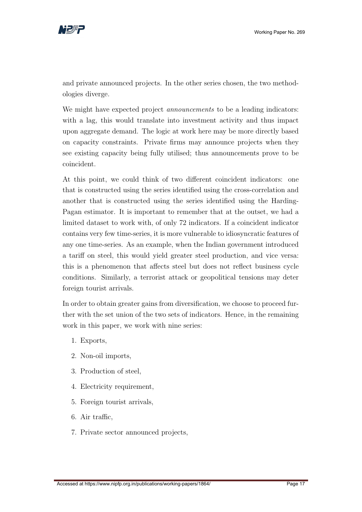

and private announced projects. In the other series chosen, the two methodologies diverge.

We might have expected project *announcements* to be a leading indicators: with a lag, this would translate into investment activity and thus impact upon aggregate demand. The logic at work here may be more directly based on capacity constraints. Private firms may announce projects when they see existing capacity being fully utilised; thus announcements prove to be coincident.

At this point, we could think of two different coincident indicators: one that is constructed using the series identified using the cross-correlation and another that is constructed using the series identified using the Harding-Pagan estimator. It is important to remember that at the outset, we had a limited dataset to work with, of only 72 indicators. If a coincident indicator contains very few time-series, it is more vulnerable to idiosyncratic features of any one time-series. As an example, when the Indian government introduced a tariff on steel, this would yield greater steel production, and vice versa: this is a phenomenon that affects steel but does not reflect business cycle conditions. Similarly, a terrorist attack or geopolitical tensions may deter foreign tourist arrivals.

In order to obtain greater gains from diversification, we choose to proceed further with the set union of the two sets of indicators. Hence, in the remaining work in this paper, we work with nine series:

- 1. Exports,
- 2. Non-oil imports,
- 3. Production of steel,
- 4. Electricity requirement,
- 5. Foreign tourist arrivals,
- 6. Air traffic,
- 7. Private sector announced projects,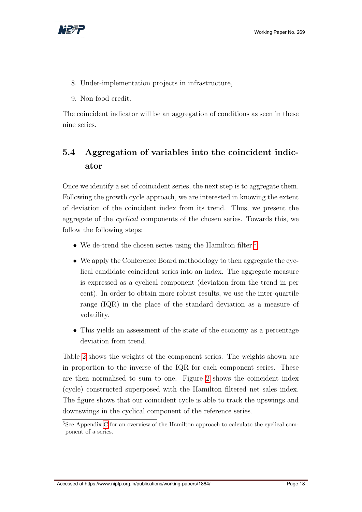

- 8. Under-implementation projects in infrastructure,
- 9. Non-food credit.

The coincident indicator will be an aggregation of conditions as seen in these nine series.

## <span id="page-18-0"></span>5.4 Aggregation of variables into the coincident indicator

Once we identify a set of coincident series, the next step is to aggregate them. Following the growth cycle approach, we are interested in knowing the extent of deviation of the coincident index from its trend. Thus, we present the aggregate of the cyclical components of the chosen series. Towards this, we follow the following steps:

- We de-trend the chosen series using the Hamilton filter.<sup>[5](#page-1-0)</sup>
- We apply the Conference Board methodology to then aggregate the cyclical candidate coincident series into an index. The aggregate measure is expressed as a cyclical component (deviation from the trend in per cent). In order to obtain more robust results, we use the inter-quartile range (IQR) in the place of the standard deviation as a measure of volatility.
- This yields an assessment of the state of the economy as a percentage deviation from trend.

Table [2](#page-19-0) shows the weights of the component series. The weights shown are in proportion to the inverse of the IQR for each component series. These are then normalised to sum to one. Figure [2](#page-19-1) shows the coincident index (cycle) constructed superposed with the Hamilton filtered net sales index. The figure shows that our coincident cycle is able to track the upswings and downswings in the cyclical component of the reference series.

 $\overline{5}$ See Appendix [C](#page-23-2) for an overview of the Hamilton approach to calculate the cyclical component of a series.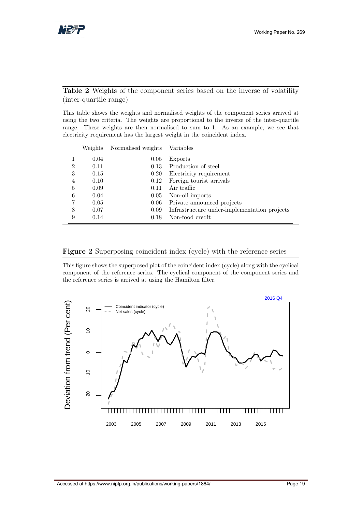#### <span id="page-19-0"></span>Table 2 Weights of the component series based on the inverse of volatility (inter-quartile range)

This table shows the weights and normalised weights of the component series arrived at using the two criteria. The weights are proportional to the inverse of the inter-quartile range. These weights are then normalised to sum to 1. As an example, we see that electricity requirement has the largest weight in the coincident index.

|   | Weights | Normalised weights | Variables                                    |
|---|---------|--------------------|----------------------------------------------|
|   | 0.04    | 0.05               | Exports                                      |
| 2 | 0.11    | 0.13               | Production of steel                          |
| 3 | 0.15    | 0.20               | Electricity requirement                      |
| 4 | 0.10    | 0.12               | Foreign tourist arrivals                     |
| 5 | 0.09    | 0.11               | Air traffic                                  |
| 6 | 0.04    | 0.05               | Non-oil imports                              |
|   | 0.05    | 0.06               | Private announced projects                   |
| 8 | 0.07    | 0.09               | Infrastructure under-implementation projects |
| 9 | 0.14    | 0.18               | Non-food credit                              |

#### <span id="page-19-1"></span>Figure 2 Superposing coincident index (cycle) with the reference series

This figure shows the superposed plot of the coincident index (cycle) along with the cyclical component of the reference series. The cyclical component of the component series and the reference series is arrived at using the Hamilton filter.

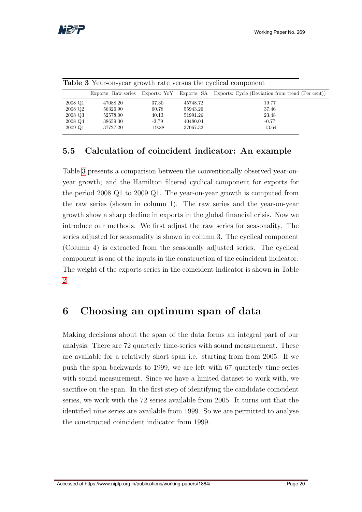

| <b>Table 3</b> Year-on-year growth rate versus the cyclical component |          |          |          |                                                                                               |  |  |
|-----------------------------------------------------------------------|----------|----------|----------|-----------------------------------------------------------------------------------------------|--|--|
|                                                                       |          |          |          | Exports: Raw series Exports: YoY Exports: SA Exports: Cycle (Deviation from trend (Per cent)) |  |  |
| 2008 Q1                                                               | 47088.20 | 37.30    | 45748.72 | 19.77                                                                                         |  |  |
| 2008 Q2                                                               | 56326.90 | 60.78    | 55943.26 | 37.46                                                                                         |  |  |
| 2008 Q3                                                               | 52578.00 | 40.13    | 51991.26 | 23.48                                                                                         |  |  |
| 2008 Q4                                                               | 38659.30 | $-3.79$  | 40480.04 | $-0.77$                                                                                       |  |  |
| 2009 Q1                                                               | 37727.20 | $-19.88$ | 37067.32 | -13.64                                                                                        |  |  |

<span id="page-20-2"></span>

### <span id="page-20-0"></span>5.5 Calculation of coincident indicator: An example

Table [3](#page-20-2) presents a comparison between the conventionally observed year-onyear growth; and the Hamilton filtered cyclical component for exports for the period 2008 Q1 to 2009 Q1. The year-on-year growth is computed from the raw series (shown in column 1). The raw series and the year-on-year growth show a sharp decline in exports in the global financial crisis. Now we introduce our methods. We first adjust the raw series for seasonality. The series adjusted for seasonality is shown in column 3. The cyclical component (Column 4) is extracted from the seasonally adjusted series. The cyclical component is one of the inputs in the construction of the coincident indicator. The weight of the exports series in the coincident indicator is shown in Table [2.](#page-19-0)

### <span id="page-20-1"></span>6 Choosing an optimum span of data

Making decisions about the span of the data forms an integral part of our analysis. There are 72 quarterly time-series with sound measurement. These are available for a relatively short span i.e. starting from from 2005. If we push the span backwards to 1999, we are left with 67 quarterly time-series with sound measurement. Since we have a limited dataset to work with, we sacrifice on the span. In the first step of identifying the candidate coincident series, we work with the 72 series available from 2005. It turns out that the identified nine series are available from 1999. So we are permitted to analyse the constructed coincident indicator from 1999.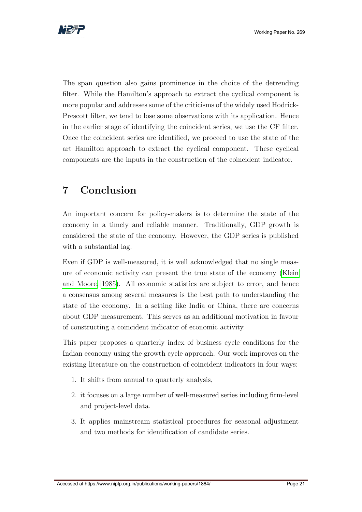

The span question also gains prominence in the choice of the detrending filter. While the Hamilton's approach to extract the cyclical component is more popular and addresses some of the criticisms of the widely used Hodrick-Prescott filter, we tend to lose some observations with its application. Hence in the earlier stage of identifying the coincident series, we use the CF filter. Once the coincident series are identified, we proceed to use the state of the art Hamilton approach to extract the cyclical component. These cyclical components are the inputs in the construction of the coincident indicator.

## <span id="page-21-0"></span>7 Conclusion

An important concern for policy-makers is to determine the state of the economy in a timely and reliable manner. Traditionally, GDP growth is considered the state of the economy. However, the GDP series is published with a substantial lag.

Even if GDP is well-measured, it is well acknowledged that no single measure of economic activity can present the true state of the economy [\(Klein](#page-32-11) [and Moore, 1985\)](#page-32-11). All economic statistics are subject to error, and hence a consensus among several measures is the best path to understanding the state of the economy. In a setting like India or China, there are concerns about GDP measurement. This serves as an additional motivation in favour of constructing a coincident indicator of economic activity.

This paper proposes a quarterly index of business cycle conditions for the Indian economy using the growth cycle approach. Our work improves on the existing literature on the construction of coincident indicators in four ways:

- 1. It shifts from annual to quarterly analysis,
- 2. it focuses on a large number of well-measured series including firm-level and project-level data.
- 3. It applies mainstream statistical procedures for seasonal adjustment and two methods for identification of candidate series.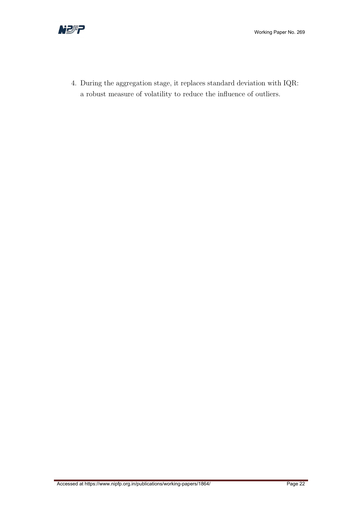



4. During the aggregation stage, it replaces standard deviation with IQR: a robust measure of volatility to reduce the influence of outliers.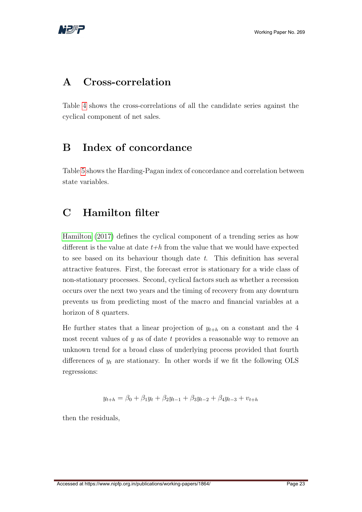

## <span id="page-23-0"></span>A Cross-correlation

Table [4](#page-24-0) shows the cross-correlations of all the candidate series against the cyclical component of net sales.

## <span id="page-23-1"></span>B Index of concordance

Table [5](#page-25-0) shows the Harding-Pagan index of concordance and correlation between state variables.

## <span id="page-23-2"></span>C Hamilton filter

[Hamilton](#page-32-6) [\(2017\)](#page-32-6) defines the cyclical component of a trending series as how different is the value at date  $t+h$  from the value that we would have expected to see based on its behaviour though date  $t$ . This definition has several attractive features. First, the forecast error is stationary for a wide class of non-stationary processes. Second, cyclical factors such as whether a recession occurs over the next two years and the timing of recovery from any downturn prevents us from predicting most of the macro and financial variables at a horizon of 8 quarters.

He further states that a linear projection of  $y_{t+h}$  on a constant and the 4 most recent values of  $y$  as of date t provides a reasonable way to remove an unknown trend for a broad class of underlying process provided that fourth differences of  $y_t$  are stationary. In other words if we fit the following OLS regressions:

$$
y_{t+h} = \beta_0 + \beta_1 y_t + \beta_2 y_{t-1} + \beta_3 y_{t-2} + \beta_4 y_{t-3} + v_{t+h}
$$

then the residuals,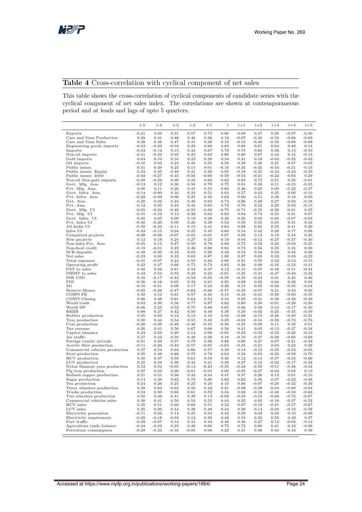

#### <span id="page-24-0"></span>Table 4 Cross-correlation with cyclical component of net sales

This table shows the cross-correlation of cyclical components of candidate series with the cyclical component of net sales index. The correlations are shown at contemporaneous period and at leads and lags of upto 5 quarters.

|                                        | $t-5$              | $t-4$              | $t-3$           | $t-2$           | $t-1$           | $^{\rm t}$      | $t+1$              | $t+2$              | $t+3$              | $t + 4$            | $t+5$              |
|----------------------------------------|--------------------|--------------------|-----------------|-----------------|-----------------|-----------------|--------------------|--------------------|--------------------|--------------------|--------------------|
| Exports                                | $-0.21$            | 0.03               | 0.31            | 0.57            | 0.75            | 0.80            | 0.68               | 0.47               | 0.20               | $-0.07$            | $-0.30$            |
| Cars and Vans Production               | 0.29               | 0.41               | 0.48            | 0.46            | 0.36            | 0.18            | $-0.07$            | $-0.33$            | $-0.53$            | $-0.66$            | $-0.69$            |
| Cars and Vans Sales                    | 0.38               | 0.46               | 0.47            | 0.41            | 0.28            | 0.10            | $-0.16$            | $-0.40$            | $-0.58$            | $-0.68$            | $-0.68$            |
| Engineering goods imports              | -0.53              | $-0.33$            | $-0.04$         | 0.29            | 0.60            | 0.83            | 0.88               | 0.81               | 0.64               | 0.40               | 0.14               |
| Imports                                | $-0.34$            | $-0.12$            | 0.15            | 0.44            | 0.67            | 0.79            | 0.75               | 0.60               | 0.38               | 0.14               | $-0.10$            |
| Non-oil imports                        | $-0.41$            | $-0.22$            | 0.05            | 0.35            | 0.62            | 0.80            | 0.80               | 0.67               | 0.43               | 0.14               | $-0.13$            |
| Gold imports                           | 0.04               | 0.10               | 0.16            | 0.23            | 0.30            | 0.34            | 0.31               | 0.18               | $-0.03$            | $-0.25$            | $-0.42$            |
| Oil imports                            | $-0.16$            | 0.03               | 0.24            | 0.43            | 0.55            | 0.58            | 0.49               | 0.36               | 0.21               | 0.07               | $-0.05$            |
| Public issues<br>Public issues: Equity | 0.31<br>0.33       | 0.30<br>0.45       | 0.25<br>0.48    | 0.15<br>0.41    | 0.01<br>0.26    | $-0.16$<br>0.05 | $-0.35$<br>$-0.18$ | $-0.45$<br>$-0.35$ | $-0.43$<br>$-0.44$ | $-0.31$<br>$-0.43$ | $-0.13$<br>$-0.35$ |
| Public issues: Debt                    | $-0.02$            | $-0.27$            | $-0.45$         | $-0.56$         | $-0.60$         | $-0.59$         | $-0.54$            | $-0.41$            | $-0.22$            | 0.03               | 0.29               |
| Non-oil Non-gold imports               | $-0.50$            | $-0.29$            | 0.00            | 0.33            | 0.62            | 0.82            | 0.83               | 0.72               | 0.51               | 0.25               | $-0.01$            |
| Govt. Mfg. Ann.                        | $-0.13$            | 0.12               | 0.36            | 0.56            | 0.70            | 0.75            | 0.61               | 0.38               | 0.11               | $-0.15$            | $-0.35$            |
| Pvt. Mfg. Ann.                         | 0.00               | 0.11               | 0.26            | 0.41            | 0.55            | 0.60            | 0.46               | 0.25               | 0.00               | $-0.22$            | $-0.37$            |
| Govt. Infra. Ann.                      | $-0.14$            | $-0.00$            | 0.16            | 0.34            | 0.51            | 0.64            | 0.57               | 0.43               | 0.25               | 0.06               | $-0.10$            |
| Pvt. Infra. Ann.                       | $-0.22$            | $-0.09$            | 0.06            | 0.25            | 0.45            | 0.62            | 0.60               | 0.51               | 0.36               | 0.18               | 0.00               |
| Gvt. Ann.                              | $-0.20$            | 0.02               | 0.24            | 0.46            | 0.63            | 0.74            | 0.66               | 0.49               | 0.27               | 0.03               | $-0.18$            |
| Pvt. Ann.                              | $-0.12$            | 0.05               | 0.24            | 0.45            | 0.65            | 0.79            | 0.70               | 0.52               | 0.29               | 0.05               | $-0.15$            |
| Govt. Mfg. UI<br>Pvt. Mfg. UI          | $-0.05$<br>$-0.31$ | $-0.24$<br>$-0.10$ | $-0.40$<br>0.13 | $-0.55$<br>0.38 | $-0.68$<br>0.63 | $-0.76$<br>0.83 | $-0.71$<br>0.84    | $-0.55$<br>0.74    | $-0.30$<br>0.55    | $-0.01$<br>0.31    | 0.25<br>0.07       |
| Govt. Infra. UI                        | 0.05               | 0.05               | 0.09            | 0.18            | 0.29            | 0.36            | 0.20               | 0.05               | $-0.05$            | $-0.07$            | $-0.03$            |
| Pvt. Infra UI                          | $-0.40$            | $-0.20$            | 0.00            | 0.20            | 0.38            | 0.54            | 0.58               | 0.55               | 0.45               | 0.31               | 0.16               |
| All India UI                           | $-0.50$            | $-0.33$            | $-0.11$         | 0.15            | 0.41            | 0.64            | 0.68               | 0.65               | 0.55               | 0.41               | 0.26               |
| Infra UI                               | $-0.33$            | $-0.15$            | 0.04            | 0.25            | 0.45            | 0.60            | 0.54               | 0.42               | 0.29               | 0.17               | 0.08               |
| Completed projects                     | $-0.08$            | $-0.08$            | $-0.07$         | $-0.05$         | $-0.01$         | 0.07            | 0.09               | 0.13               | 0.19               | 0.24               | 0.25               |
| New projects                           | 0.12               | 0.19               | 0.24            | 0.27            | 0.25            | 0.19            | 0.04               | $-0.12$            | $-0.27$            | $-0.37$            | $-0.40$            |
| Non-infra Pvt. Ann.                    | $-0.05$            | 0.15               | 0.37            | 0.59            | 0.78            | 0.89            | 0.75               | 0.52               | 0.24               | $-0.03$            | $-0.25$            |
| Non-food credit                        | $-0.19$            | $-0.01$            | 0.22            | 0.46            | 0.69            | 0.84            | 0.73               | 0.56               | 0.35               | 0.16               | 0.00               |
| SCB deposits                           | $-0.48$            | $-0.35$            | $-0.18$         | 0.03            | 0.26            | 0.49            | 0.54               | 0.54               | 0.50               | 0.44               | 0.36               |
| Net sales                              | $-0.23$            | 0.03               | 0.33            | 0.63            | 0.87            | 1.00            | 0.87               | 0.63               | 0.33               | 0.03               | $-0.23$            |
| Total expenses<br>Operating profit     | $-0.31$<br>0.22    | $-0.07$<br>0.47    | 0.24<br>0.66    | 0.55<br>0.75    | 0.82<br>0.74    | 0.99<br>0.63    | 0.91<br>0.36       | 0.70<br>0.08       | 0.42<br>$-0.16$    | 0.12<br>$-0.33$    | $-0.15$<br>$-0.41$ |
| PAT to sales                           | 0.40               | 0.56               | 0.61            | 0.54            | 0.37            | 0.12            | $-0.15$            | $-0.37$            | $-0.49$            | $-0.51$            | $-0.44$            |
| PBDIT to sales                         | 0.43               | 0.54               | 0.55            | 0.43            | 0.23            | $-0.01$         | $-0.25$            | $-0.41$            | $-0.47$            | $-0.43$            | $-0.32$            |
| INR USD                                | 0.10               | $-0.17$            | $-0.42$         | $-0.59$         | $-0.65$         | $-0.59$         | $-0.45$            | $-0.24$            | 0.01               | 0.25               | 0.46               |
| FDI                                    | $-0.36$            | $-0.18$            | 0.05            | 0.33            | 0.61            | 0.85            | 0.89               | 0.82               | 0.64               | 0.38               | 0.09               |
| M1                                     | $-0.10$            | $-0.01$            | 0.09            | 0.17            | 0.24            | 0.26            | 0.15               | 0.05               | $-0.02$            | $-0.05$            | $-0.04$            |
| Reserve Money                          | $-0.05$            | $-0.26$            | $-0.47$         | $-0.62$         | $-0.66$         | $-0.57$         | $-0.35$            | $-0.07$            | 0.21               | 0.43               | 0.56               |
| COSPI PE                               | 0.39               | 0.54               | 0.61            | 0.57            | 0.40            | 0.15            | $-0.16$            | $-0.41$            | $-0.56$            | $-0.60$            | $-0.55$            |
| COSPI Closing                          | 0.26               | 0.48               | 0.61            | 0.64            | 0.54            | 0.34            | 0.05               | $-0.21$            | $-0.39$            | $-0.48$            | $-0.49$            |
| World trade<br>World IIP               | 0.02<br>$-0.06$    | 0.30<br>0.23       | 0.56            | 0.77            | 0.87            | 0.82<br>0.85    | 0.60<br>0.66       | 0.30               | $-0.01$            | $-0.29$            | $-0.50$            |
| REER                                   | 0.08               | 0.27               | 0.52<br>0.42    | 0.75<br>0.50    | 0.86<br>0.49    | 0.38            | 0.20               | 0.39<br>$-0.02$    | 0.10<br>$-0.25$    | $-0.17$<br>$-0.45$ | $-0.40$<br>$-0.59$ |
| Rubber production                      | 0.05               | 0.09               | 0.12            | 0.13            | 0.10            | 0.03            | $-0.08$            | $-0.19$            | $-0.26$            | $-0.30$            | $-0.31$            |
| Tyre production                        | 0.30               | 0.44               | 0.54            | 0.55            | 0.45            | 0.25            | $-0.04$            | $-0.34$            | $-0.58$            | $-0.73$            | $-0.76$            |
| Coal production                        | $-0.28$            | $-0.39$            | $-0.46$         | $-0.48$         | $-0.45$         | $-0.36$         | $-0.25$            | $-0.09$            | 0.11               | 0.32               | 0.51               |
| Tax revenue                            | 0.26               | 0.41               | 0.56            | 0.67            | 0.68            | 0.58            | 0.31               | 0.05               | $-0.15$            | $-0.27$            | $-0.34$            |
| Capital issuance                       | 0.24               | 0.23               | 0.20            | 0.14            | 0.06            | $-0.05$         | $-0.23$            | $-0.34$            | $-0.35$            | $-0.26$            | $-0.10$            |
| Air traffic                            | 0.27               | 0.42               | 0.50            | 0.49            | 0.38            | 0.18            | $-0.10$            | $-0.37$            | $-0.58$            | $-0.69$            | $-0.69$            |
| Foreign tourist arrivals               | $-0.01$            | 0.29               | 0.57            | 0.79            | 0.90            | 0.88            | 0.66               | 0.37               | 0.07               | $-0.21$            | $-0.43$            |
| Acrylic fibre production               | $-0.11$            | $-0.26$            | $-0.43$         | $-0.57$         | $-0.65$         | $-0.63$         | $-0.45$            | $-0.21$            | 0.04               | 0.24               | 0.39               |
| Commercial vehicles production         | 0.37               | 0.54               | 0.64            | 0.66            | 0.57            | 0.39            | 0.14               | $-0.12$            | $-0.35$            | $-0.53$            | $-0.65$            |
| Steel production<br>HCV production     | 0.25<br>0.30       | 0.49<br>0.47       | 0.68<br>0.59    | 0.79<br>0.61    | 0.78<br>0.53    | 0.64<br>0.36    | 0.33<br>0.12       | $-0.03$<br>$-0.14$ | $-0.35$<br>$-0.37$ | $-0.58$<br>$-0.55$ | $-0.70$<br>$-0.66$ |
| LCV production                         | 0.25               | 0.34               | 0.39            | 0.42            | 0.41            | 0.38            | 0.27               | 0.13               | $-0.02$            | $-0.17$            | $-0.32$            |
| Nylon filament yarn production         | 0.12               | 0.04               | $-0.05$         | $-0.14$         | $-0.24$         | $-0.35$         | $-0.44$            | $-0.50$            | $-0.51$            | $-0.46$            | $-0.34$            |
| Pig iron production                    | 0.07               | 0.03               | 0.00            | $-0.01$         | $-0.01$         | 0.00            | $-0.05$            | $-0.07$            | $-0.04$            | 0.03               | 0.13               |
| Refined copper production              | 0.21               | 0.31               | 0.38            | 0.42            | 0.44            | 0.47            | 0.37               | 0.26               | 0.13               | 0.01               | $-0.10$            |
| Sugar production                       | 0.14               | 0.39               | 0.62            | 0.79            | 0.86            | 0.82            | 0.62               | 0.36               | 0.07               | $-0.22$            | $-0.48$            |
| Tea production                         | 0.24               | 0.26               | 0.25            | 0.23            | 0.20            | 0.16            | 0.06               | $-0.07$            | $-0.20$            | $-0.32$            | $-0.39$            |
| Three wheelers production              | 0.58               | 0.64               | 0.63            | 0.56            | 0.42            | 0.21            | $-0.08$            | $-0.38$            | $-0.64$            | $-0.80$            | $-0.84$            |
| Trucks production                      | 0.34               | 0.50               | 0.60            | 0.61            | 0.52            | 0.34            | 0.08               | $-0.18$            | $-0.40$            | $-0.58$            | $-0.68$            |
| Two wheelers production                | 0.50               | 0.48               | 0.41            | 0.30            | 0.13            | $-0.08$         | $-0.33$            | $-0.55$            | $-0.68$            | $-0.72$            | $-0.67$            |
| Commercial vehicles sales<br>HCV sales | 0.30<br>0.35       | 0.41<br>0.51       | 0.50<br>0.60    | 0.54<br>0.60    | 0.53<br>0.51    | 0.44<br>0.33    | 0.25<br>0.07       | 0.03<br>$-0.19$    | $-0.18$<br>$-0.41$ | $-0.37$            | $-0.52$<br>$-0.67$ |
| LCV sales                              | 0.25               | 0.36               | 0.44            | 0.48            | 0.48            | 0.44            | 0.30               | 0.14               | $-0.03$            | $-0.57$<br>$-0.18$ | $-0.32$            |
| Electricity generation                 | $-0.11$            | 0.02               | 0.14            | 0.25            | 0.34            | 0.42            | 0.39               | 0.33               | 0.23               | 0.10               | $-0.06$            |
| Electricity requirement                | $-0.29$            | $-0.18$            | $-0.04$         | 0.12            | 0.30            | 0.48            | 0.54               | 0.56               | 0.55               | 0.49               | 0.37               |
| Port traffic                           | $-0.29$            | $-0.07$            | 0.14            | 0.31            | 0.43            | 0.48            | 0.40               | 0.27               | 0.12               | $-0.02$            | $-0.13$            |
| Agriculture trade balance              | $-0.24$            | $-0.02$            | 0.23            | 0.48            | 0.66            | 0.75            | 0.72               | 0.60               | 0.41               | 0.19               | $-0.06$            |
| Petroleum consumption                  | $-0.29$            | $-0.24$            | $-0.16$         | $-0.05$         | 0.08            | 0.22            | 0.31               | 0.38               | 0.43               | 0.44               | 0.38               |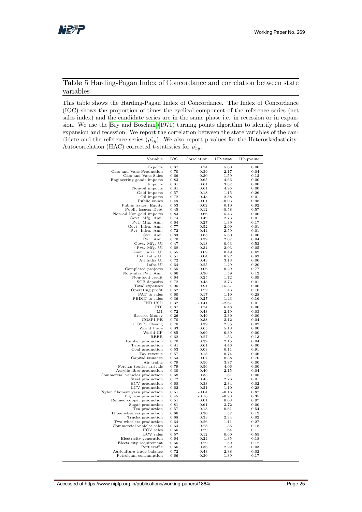#### <span id="page-25-0"></span>Table 5 Harding-Pagan Index of Concordance and correlation between state variables

This table shows the Harding-Pagan Index of Concordance. The Index of Concordance (IOC) shows the proportion of times the cyclical component of the reference series (net sales index) and the candidate series are in the same phase i.e. in recession or in expansion. We use the [Bry and Boschan](#page-31-11) [\(1971\)](#page-31-11) turning points algorithm to identify phases of expansion and recession. We report the correlation between the state variables of the candidate and the reference series  $(\hat{\rho}_{xy})$ . We also report p-values for the Heteroskedasticity-Autocorrelation (HAC) corrected t-statistics for  $\rho_{xy}$ .

| Variable                                     | IOC          | Correlation     | HP-tstat        | HP-pvalue    |
|----------------------------------------------|--------------|-----------------|-----------------|--------------|
| Exports                                      | 0.87         | 0.74            | 5.60            | 0.00         |
| Cars and Vans Production                     | 0.70         | 0.39            | 2.17            | 0.04         |
| Cars and Vans Sales                          | 0.66         | 0.30            | 1.59            | 0.12         |
| Engineering goods imports                    | 0.83         | 0.65            | 4.66            | 0.00         |
| Imports                                      | 0.81         | 0.61            | 3.87            | 0.00         |
| Non-oil imports                              | 0.81         | 0.61            | 4.95            | 0.00         |
| Gold imports                                 | 0.57         | 0.18            | 1.15            | 0.26         |
| Oil imports                                  | 0.72         | 0.43            | 2.58            | 0.01         |
| Public issues                                | 0.49         | $-0.01$         | $-0.03$         | 0.98         |
| Public issues: Equity<br>Public issues: Debt | 0.53<br>0.45 | 0.02<br>$-0.12$ | 0.10<br>$-0.58$ | 0.92<br>0.57 |
| Non-oil Non-gold imports                     | 0.83         | 0.66            | 5.43            | 0.00         |
| Govt. Mfg. Ann.                              | 0.74         | 0.49            | 2.73            | 0.01         |
| Pvt. Mfg. Ann.                               | 0.64         | 0.27            | 1.39            | 0.17         |
| Govt. Infra. Ann.                            | 0.77         | 0.52            | 2.90            | 0.01         |
| Pvt. Infra. Ann.                             | 0.72         | 0.44            | 2.59            | 0.01         |
| Gvt. Ann.                                    | 0.83         | 0.65            | 5.60            | 0.00         |
| Pvt. Ann.                                    | 0.70         | 0.39            | 2.07            | 0.04         |
| Govt. Mfg. UI                                | 0.47         | $-0.13$         | $-0.63$         | 0.53         |
|                                              | 0.68         | 0.34            | 2.03            | 0.05         |
| Pvt. Mfg. UI<br>Govt. Infra. UI              | 0.55         | 0.09            | 0.49            | 0.62         |
| Pvt. Infra UI                                | 0.51         | 0.04            | 0.22            | 0.83         |
| All India UI                                 | 0.72         | 0.43            | 3.13            | 0.00         |
| Infra UI                                     | 0.64         | 0.25            | 1.29            | 0.20         |
| Completed projects                           | 0.55         | 0.06            | 0.29            | 0.77         |
| Non-infra Pvt. Ann.                          | 0.66         | 0.30            | 1.59            | 0.12         |
| Non-food credit                              | 0.64         | 0.25            | 1.72            | 0.09         |
| SCB deposits                                 | 0.72         | 0.43            | 2.73            | 0.01         |
| Total expenses                               | 0.96         | 0.91            | 15.37           | 0.00         |
| Operating profit                             | 0.62         | 0.22            | 1.43            | 0.16         |
| PAT to sales                                 | 0.60         | 0.17            | 1.10            | 0.28         |
| PBDIT to sales                               | 0.36         | $-0.27$         | $-1.43$         | 0.16         |
| INR USD                                      | 0.32         | $-0.41$         | $-2.67$         | 0.01         |
| FDI                                          | 0.87         | 0.74            | 6.48            | 0.00         |
| M1                                           | 0.72         | 0.43            | 2.19            | 0.03         |
| Reserve Money                                | 0.26         | $-0.49$         | $-3.30$         | 0.00         |
| COSPI PE<br>COSPI Closing                    | 0.70<br>0.70 | 0.38<br>0.39    | 2.12<br>2.35    | 0.04<br>0.02 |
| World trade                                  | 0.83         | 0.65            | 5.18            | 0.00         |
| World IIP                                    | 0.85         | 0.69            | 6.39            | 0.00         |
| REER                                         | 0.62         | 0.27            | 1.53            | 0.13         |
| Rubber production                            | 0.70         | 0.39            | 2.15            | 0.04         |
| Tyre production                              | 0.81         | 0.61            | 4.46            | 0.00         |
| Coal production                              | 0.53         | 0.03            | 0.11            | 0.91         |
| Tax revenue                                  | 0.57         | 0.15            | 0.74            | 0.46         |
| Capital issuance                             | 0.53         | 0.07            | 0.38            | 0.70         |
| Air traffic                                  | 0.79         | 0.56            | 3.87            | 0.00         |
| Foreign tourist arrivals                     | 0.79         | 0.56            | 4.06            | 0.00         |
| Acrylic fibre production                     | 0.30         | $-0.40$         | $-2.15$         | 0.04         |
| Commercial vehicles production               | 0.68         | 0.33            | 1.81            | 0.08         |
| Steel production                             | 0.72         | 0.43            | 2.76            | 0.01         |
| HCV production                               | 0.68         | 0.33            | 2.34            | 0.02         |
| LCV production                               | 0.62         | 0.21            | 1.10            | 0.28         |
| Nylon filament yarn production               | 0.51         | $-0.04$         | $-0.16$         | 0.87         |
| Pig iron production                          | 0.45         | $-0.16$         | $-0.93$         | 0.35         |
| Refined copper production                    | 0.51         | 0.01            | 0.03            | 0.97<br>0.00 |
| Sugar production                             | 0.81<br>0.57 | 0.61<br>0.13    | 3.72<br>0.61    | 0.54         |
| Tea production<br>Three wheelers production  | 0.66         | 0.30            | 1.57            | 0.12         |
| Trucks production                            | 0.68         | 0.33            | 2.34            | 0.02         |
| Two wheelers production                      | 0.64         | 0.26            | 1.11            | 0.27         |
| Commercial vehicles sales                    | 0.64         | 0.25            | 1.35            | 0.18         |
| HCV sales                                    | 0.66         | 0.29            | 1.64            | 0.11         |
| LCV sales                                    | 0.57         | 0.12            | 0.60            | 0.55         |
| Electricity generation                       | 0.64         | 0.24            | 1.35            | 0.18         |
| Electricity requirement                      | 0.66         | 0.29            | 1.59            | 0.12         |
| Port traffic                                 | 0.66         | 0.36            | 2.22            | 0.03         |
| Agriculture trade balance                    | 0.72         | 0.43            | 2.38            | 0.02         |
| Petroleum consumption                        | 0.66         | 0.30            | 1.39            | 0.17         |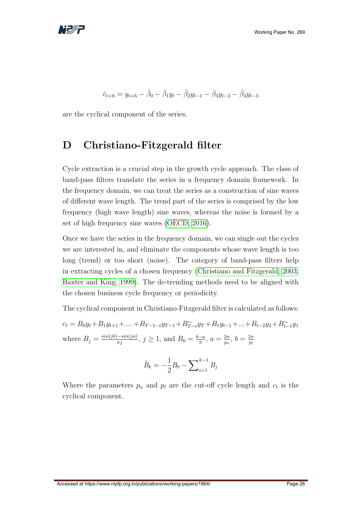

$$
\hat{v}_{t+h} = y_{t+h} - \hat{\beta}_0 - \hat{\beta}_1 y_t - \hat{\beta}_2 y_{t-1} - \hat{\beta}_3 y_{t-2} - \hat{\beta}_4 y_{t-3}
$$

are the cyclical component of the series.

### <span id="page-26-0"></span>D Christiano-Fitzgerald filter

Cycle extraction is a crucial step in the growth cycle approach. The class of band-pass filters translate the series in a frequency domain framework. In the frequency domain, we can treat the series as a construction of sine waves of different wave length. The trend part of the series is comprised by the low frequency (high wave length) sine waves, whereas the noise is formed by a set of high frequency sine waves [\(OECD, 2016\)](#page-33-11).

Once we have the series in the frequency domain, we can single out the cycles we are interested in, and eliminate the components whose wave length is too long (trend) or too short (noise). The category of band-pass filters help in extracting cycles of a chosen frequency [\(Christiano and Fitzgerald, 2003;](#page-31-9) [Baxter and King, 1999\)](#page-31-8). The de-trending methods need to be aligned with the chosen business cycle frequency or periodicity.

The cyclical component in Christiano-Fitzgerald filter is calculated as follows:  $c_t = B_0 y_t + B_1 y_{t+1} + \dots + B_{T-1-t} y_{T-1} + B_{T-t}^{\sim} y_T + B_1 y_{t-1} + \dots + B_{t-2} y_2 + B_{t-1}^{\sim} y_1$ where  $B_j = \frac{\sin(jb) - \sin(ja)}{\pi j}$ ,  $j \ge 1$ , and  $B_0 = \frac{b-a}{\pi}$  $\frac{-a}{\pi}, a = \frac{2\pi}{p_u}$  $rac{2\pi}{p_u}, b = \frac{2\pi}{p_l}$  $p_l$ 

$$
\tilde{B}_k = -\frac{1}{2}B_0 - \sum_{i=1}^{k-1} B_i
$$

Where the parameters  $p_u$  and  $p_l$  are the cut-off cycle length and  $c_t$  is the cyclical component.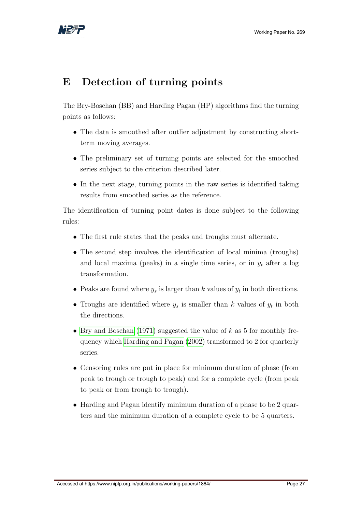

## <span id="page-27-0"></span>E Detection of turning points

The Bry-Boschan (BB) and Harding Pagan (HP) algorithms find the turning points as follows:

- The data is smoothed after outlier adjustment by constructing shortterm moving averages.
- The preliminary set of turning points are selected for the smoothed series subject to the criterion described later.
- In the next stage, turning points in the raw series is identified taking results from smoothed series as the reference.

The identification of turning point dates is done subject to the following rules:

- The first rule states that the peaks and troughs must alternate.
- The second step involves the identification of local minima (troughs) and local maxima (peaks) in a single time series, or in  $y_t$  after a log transformation.
- Peaks are found where  $y_s$  is larger than k values of  $y_t$  in both directions.
- Troughs are identified where  $y_s$  is smaller than k values of  $y_t$  in both the directions.
- [Bry and Boschan](#page-31-11) [\(1971\)](#page-31-11) suggested the value of  $k$  as 5 for monthly frequency which [Harding and Pagan](#page-32-9) [\(2002\)](#page-32-9) transformed to 2 for quarterly series.
- Censoring rules are put in place for minimum duration of phase (from peak to trough or trough to peak) and for a complete cycle (from peak to peak or from trough to trough).
- Harding and Pagan identify minimum duration of a phase to be 2 quarters and the minimum duration of a complete cycle to be 5 quarters.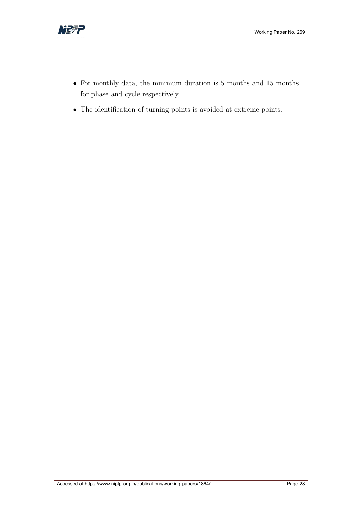

- For monthly data, the minimum duration is 5 months and 15 months for phase and cycle respectively.
- The identification of turning points is avoided at extreme points.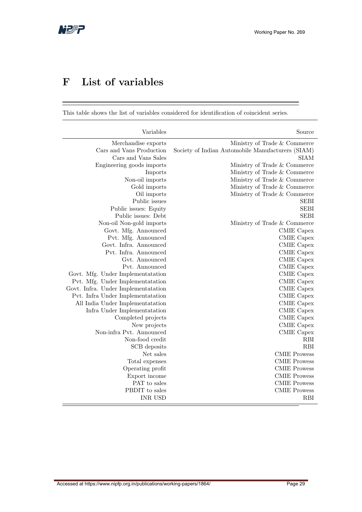# <span id="page-29-0"></span>F List of variables

This table shows the list of variables considered for identification of coincident series.

| Variables                                       | Source                                                                            |
|-------------------------------------------------|-----------------------------------------------------------------------------------|
| Merchandise exports<br>Cars and Vans Production | Ministry of Trade & Commerce<br>Society of Indian Automobile Manufacturers (SIAM) |
| Cars and Vans Sales                             | <b>SIAM</b>                                                                       |
| Engineering goods imports                       | Ministry of Trade & Commerce                                                      |
| Imports                                         | Ministry of Trade & Commerce                                                      |
| Non-oil imports                                 | Ministry of Trade & Commerce                                                      |
| Gold imports                                    | Ministry of Trade & Commerce                                                      |
| Oil imports                                     | Ministry of Trade & Commerce                                                      |
| Public issues                                   | <b>SEBI</b>                                                                       |
| Public issues: Equity                           | <b>SEBI</b>                                                                       |
| Public issues: Debt                             | <b>SEBI</b>                                                                       |
| Non-oil Non-gold imports                        | Ministry of Trade & Commerce                                                      |
| Govt. Mfg. Announced                            | CMIE Capex                                                                        |
| Pvt. Mfg. Announced                             | CMIE Capex                                                                        |
| Govt. Infra. Announced                          | CMIE Capex                                                                        |
| Pvt. Infra. Announced                           | CMIE Capex                                                                        |
| Gvt. Announced                                  | CMIE Capex                                                                        |
| Pyt. Announced                                  | CMIE Capex                                                                        |
| Govt. Mfg. Under Implementatation               | CMIE Capex                                                                        |
| Pvt. Mfg. Under Implementatation                | CMIE Capex                                                                        |
| Govt. Infra. Under Implementatation             | CMIE Capex                                                                        |
| Pvt. Infra Under Implementatation               | <b>CMIE</b> Capex                                                                 |
| All India Under Implementatation                | <b>CMIE</b> Capex                                                                 |
| Infra Under Implementatation                    | CMIE Capex                                                                        |
| Completed projects                              | <b>CMIE</b> Capex                                                                 |
| New projects                                    | <b>CMIE</b> Capex                                                                 |
| Non-infra Pvt. Announced                        | <b>CMIE</b> Capex                                                                 |
| Non-food credit                                 | <b>RBI</b>                                                                        |
| SCB deposits                                    | <b>RBI</b>                                                                        |
| Net sales                                       | <b>CMIE Prowess</b>                                                               |
| Total expenses                                  | <b>CMIE Prowess</b>                                                               |
| Operating profit                                | <b>CMIE Prowess</b>                                                               |
| Export income                                   | <b>CMIE Prowess</b>                                                               |
| PAT to sales                                    | <b>CMIE Prowess</b>                                                               |
| PBDIT to sales                                  | <b>CMIE Prowess</b>                                                               |
| <b>INR USD</b>                                  | <b>RBI</b>                                                                        |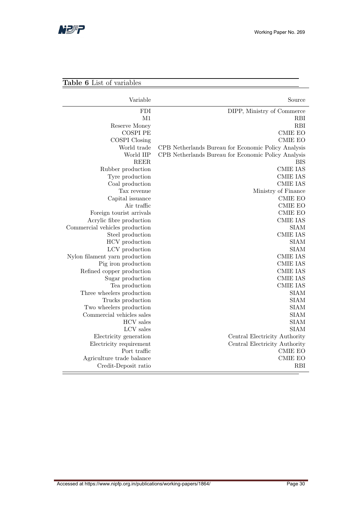

### Table 6 List of variables

| Variable                       | Source                                              |
|--------------------------------|-----------------------------------------------------|
| <b>FDI</b>                     | DIPP, Ministry of Commerce                          |
| M1                             | <b>RBI</b>                                          |
| Reserve Money                  | <b>RBI</b>                                          |
| <b>COSPI PE</b>                | <b>CMIE EO</b>                                      |
| <b>COSPI</b> Closing           | <b>CMIE EO</b>                                      |
| World trade                    | CPB Netherlands Bureau for Economic Policy Analysis |
| World IIP                      | CPB Netherlands Bureau for Economic Policy Analysis |
| <b>REER</b>                    | <b>BIS</b>                                          |
| Rubber production              | <b>CMIE IAS</b>                                     |
| Tyre production                | <b>CMIE IAS</b>                                     |
| Coal production                | <b>CMIE IAS</b>                                     |
| Tax revenue                    | Ministry of Finance                                 |
| Capital issuance               | <b>CMIE EO</b>                                      |
| Air traffic                    | <b>CMIE EO</b>                                      |
| Foreign tourist arrivals       | <b>CMIE EO</b>                                      |
| Acrylic fibre production       | <b>CMIE IAS</b>                                     |
| Commercial vehicles production | <b>SIAM</b>                                         |
| Steel production               | <b>CMIE IAS</b>                                     |
| HCV production                 | <b>SIAM</b>                                         |
| LCV production                 | <b>SIAM</b>                                         |
| Nylon filament yarn production | <b>CMIE IAS</b>                                     |
| Pig iron production            | <b>CMIE IAS</b>                                     |
| Refined copper production      | <b>CMIE IAS</b>                                     |
| Sugar production               | <b>CMIE IAS</b>                                     |
| Tea production                 | <b>CMIE IAS</b>                                     |
| Three wheelers production      | <b>SIAM</b>                                         |
| Trucks production              | <b>SIAM</b>                                         |
| Two wheelers production        | <b>SIAM</b>                                         |
| Commercial vehicles sales      | <b>SIAM</b>                                         |
| <b>HCV</b> sales               | <b>SIAM</b>                                         |
| LCV sales                      | <b>SIAM</b>                                         |
| Electricity generation         | Central Electricity Authority                       |
| Electricity requirement        | Central Electricity Authority                       |
| Port traffic                   | <b>CMIE EO</b>                                      |
| Agriculture trade balance      | <b>CMIE EO</b>                                      |
| Credit-Deposit ratio           | <b>RBI</b>                                          |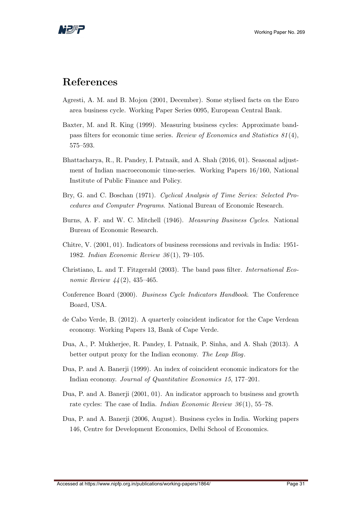

### References

- <span id="page-31-10"></span>Agresti, A. M. and B. Mojon (2001, December). Some stylised facts on the Euro area business cycle. Working Paper Series 0095, European Central Bank.
- <span id="page-31-8"></span>Baxter, M. and R. King (1999). Measuring business cycles: Approximate bandpass filters for economic time series. Review of Economics and Statistics 81 (4), 575–593.
- <span id="page-31-0"></span>Bhattacharya, R., R. Pandey, I. Patnaik, and A. Shah (2016, 01). Seasonal adjustment of Indian macroeconomic time-series. Working Papers 16/160, National Institute of Public Finance and Policy.
- <span id="page-31-11"></span>Bry, G. and C. Boschan (1971). Cyclical Analysis of Time Series: Selected Procedures and Computer Programs. National Bureau of Economic Research.
- <span id="page-31-7"></span>Burns, A. F. and W. C. Mitchell (1946). Measuring Business Cycles. National Bureau of Economic Research.
- <span id="page-31-1"></span>Chitre, V. (2001, 01). Indicators of business recessions and revivals in India: 1951- 1982. Indian Economic Review 36 (1), 79–105.
- <span id="page-31-9"></span>Christiano, L. and T. Fitzgerald (2003). The band pass filter. International Economic Review  $44(2)$ , 435-465.
- <span id="page-31-12"></span>Conference Board (2000). Business Cycle Indicators Handbook. The Conference Board, USA.
- <span id="page-31-4"></span>de Cabo Verde, B. (2012). A quarterly coincident indicator for the Cape Verdean economy. Working Papers 13, Bank of Cape Verde.
- <span id="page-31-6"></span>Dua, A., P. Mukherjee, R. Pandey, I. Patnaik, P. Sinha, and A. Shah (2013). A better output proxy for the Indian economy. The Leap Blog.
- <span id="page-31-2"></span>Dua, P. and A. Banerji (1999). An index of coincident economic indicators for the Indian economy. Journal of Quantitative Economics 15, 177–201.
- <span id="page-31-3"></span>Dua, P. and A. Banerji (2001, 01). An indicator approach to business and growth rate cycles: The case of India. *Indian Economic Review 36*(1), 55–78.
- <span id="page-31-5"></span>Dua, P. and A. Banerji (2006, August). Business cycles in India. Working papers 146, Centre for Development Economics, Delhi School of Economics.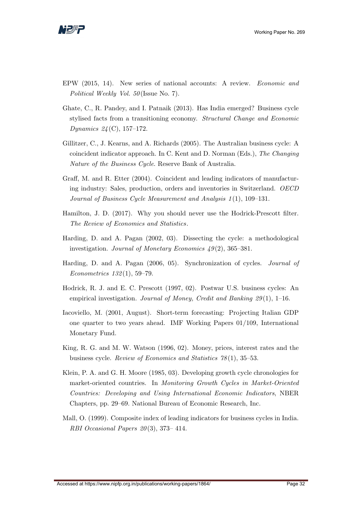

- <span id="page-32-4"></span>EPW (2015, 14). New series of national accounts: A review. Economic and Political Weekly Vol. 50 (Issue No. 7).
- <span id="page-32-0"></span>Ghate, C., R. Pandey, and I. Patnaik (2013). Has India emerged? Business cycle stylised facts from a transitioning economy. Structural Change and Economic Dynamics  $24 (C)$ , 157–172.
- <span id="page-32-2"></span>Gillitzer, C., J. Kearns, and A. Richards (2005). The Australian business cycle: A coincident indicator approach. In C. Kent and D. Norman (Eds.), The Changing Nature of the Business Cycle. Reserve Bank of Australia.
- <span id="page-32-3"></span>Graff, M. and R. Etter (2004). Coincident and leading indicators of manufacturing industry: Sales, production, orders and inventories in Switzerland. OECD Journal of Business Cycle Measurement and Analysis 1(1), 109–131.
- <span id="page-32-6"></span>Hamilton, J. D. (2017). Why you should never use the Hodrick-Prescott filter. The Review of Economics and Statistics.
- <span id="page-32-9"></span>Harding, D. and A. Pagan (2002, 03). Dissecting the cycle: a methodological investigation. Journal of Monetary Economics  $49(2)$ , 365–381.
- <span id="page-32-10"></span>Harding, D. and A. Pagan (2006, 05). Synchronization of cycles. Journal of Econometrics 132 (1), 59–79.
- <span id="page-32-5"></span>Hodrick, R. J. and E. C. Prescott (1997, 02). Postwar U.S. business cycles: An empirical investigation. Journal of Money, Credit and Banking  $29(1)$ , 1–16.
- <span id="page-32-8"></span>Iacoviello, M. (2001, August). Short-term forecasting: Projecting Italian GDP one quarter to two years ahead. IMF Working Papers 01/109, International Monetary Fund.
- <span id="page-32-7"></span>King, R. G. and M. W. Watson (1996, 02). Money, prices, interest rates and the business cycle. Review of Economics and Statistics 78 (1), 35–53.
- <span id="page-32-11"></span>Klein, P. A. and G. H. Moore (1985, 03). Developing growth cycle chronologies for market-oriented countries. In Monitoring Growth Cycles in Market-Oriented Countries: Developing and Using International Economic Indicators, NBER Chapters, pp. 29–69. National Bureau of Economic Research, Inc.
- <span id="page-32-1"></span>Mall, O. (1999). Composite index of leading indicators for business cycles in India. RBI Occasional Papers  $20(3)$ , 373-414.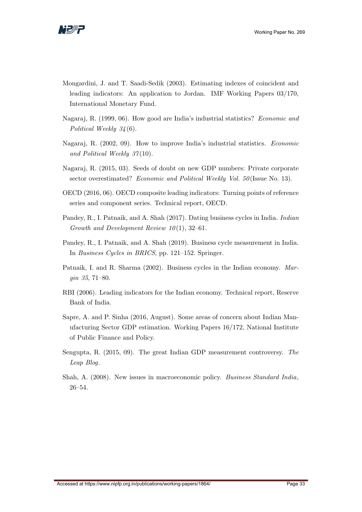

- <span id="page-33-7"></span>Mongardini, J. and T. Saadi-Sedik (2003). Estimating indexes of coincident and leading indicators: An application to Jordan. IMF Working Papers 03/170, International Monetary Fund.
- <span id="page-33-9"></span>Nagaraj, R. (1999, 06). How good are India's industrial statistics? Economic and Political Weekly  $34(6)$ .
- <span id="page-33-10"></span>Nagaraj, R. (2002, 09). How to improve India's industrial statistics. Economic and Political Weekly 37(10).
- <span id="page-33-4"></span>Nagaraj, R. (2015, 03). Seeds of doubt on new GDP numbers: Private corporate sector overestimated? Economic and Political Weekly Vol. 50 (Issue No. 13).
- <span id="page-33-11"></span>OECD (2016, 06). OECD composite leading indicators: Turning points of reference series and component series. Technical report, OECD.
- <span id="page-33-1"></span>Pandey, R., I. Patnaik, and A. Shah (2017). Dating business cycles in India. Indian Growth and Development Review  $10(1)$ , 32–61.
- <span id="page-33-2"></span>Pandey, R., I. Patnaik, and A. Shah (2019). Business cycle measurement in India. In Business Cycles in BRICS, pp. 121–152. Springer.
- <span id="page-33-0"></span>Patnaik, I. and R. Sharma (2002). Business cycles in the Indian economy. Margin 35, 71–80.
- <span id="page-33-8"></span>RBI (2006). Leading indicators for the Indian economy. Technical report, Reserve Bank of India.
- <span id="page-33-5"></span>Sapre, A. and P. Sinha (2016, August). Some areas of concern about Indian Manufacturing Sector GDP estimation. Working Papers 16/172, National Institute of Public Finance and Policy.
- <span id="page-33-6"></span>Sengupta, R. (2015, 09). The great Indian GDP measurement controversy. The Leap Blog.
- <span id="page-33-3"></span>Shah, A. (2008). New issues in macroeconomic policy. Business Standard India, 26–54.